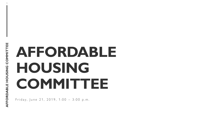1

# **AFFORDABLE HOUSING COMMITTEE**

Friday, June 21, 2019, 1:00 - 3:00 p.m.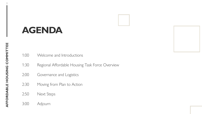### **AGENDA**



- 1:30 Regional Affordable Housing Task Force Overview
- 2:00 Governance and Logistics
- 2:30 Moving from Plan to Action

#### 2:50 Next Steps

3:00 Adjourn

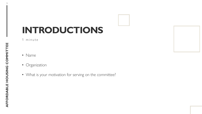### **INTRODUCTIONS**

1 minute

- Name
- Organization
- What is your motivation for serving on the committee?

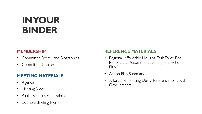### **IN YOUR BINDER**

#### **MEMBERSHIP**

- Committee Roster and Biographies
- Committee Charter

#### **MEETING MATERIALS**

- Agenda
- Meeting Slides
- Public Records Act Training
- Example Briefing Memo

#### **REFERENCE MATERIALS**

- Regional Affordable Housing Task Force Final Report and Recommendations ("The Action Plan")
- Action Plan Summary
- Affordable Housing Desk: Reference for Local Governments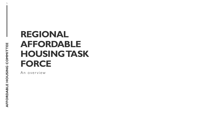### **REGIONAL AFFORDABLE HOUSING TASK FORCE**

An overview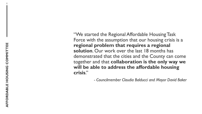"We started the Regional Affordable Housing Task Force with the assumption that our housing crisis is a **regional problem that requires a regional solution**. Our work over the last 18 months has demonstrated that the cities and the County can come together and that **collaboration is the only way we will be able to address the affordable housing crisis**."

*- Councilmember Claudia Balducci and Mayor David Baker*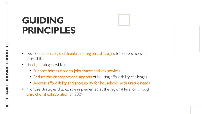### **GUIDING PRINCIPLES**

- Develop **actionable, sustainable, and regional strategies** to address housing affordability
- Identify strategies which:
	- Support homes close to jobs, transit and key services
	- Reduce the disproportional impacts of housing affordability challenges
	- Address affordability and accessibility for households with unique needs
- Prioritize strategies that can be implemented at the regional level or through jurisdictional collaboration by 2024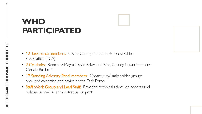### **WHO PARTICIPATED**

- 12 Task Force members: 6 King County, 2 Seattle, 4 Sound Cities Association (SCA)
- 2 Co-chairs: Kenmore Mayor David Baker and King County Councilmember Claudia Balducci
- 17 Standing Advisory Panel members: Community/ stakeholder groups provided expertise and advice to the Task Force
- Staff Work Group and Lead Staff: Provided technical advice on process and policies, as well as administrative support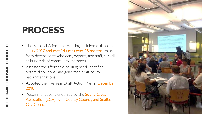### **PROCESS**

- The Regional Affordable Housing Task Force kicked off in July 2017 and met 14 times over 18 months. Heard from dozens of stakeholders, experts, and staff, as well as hundreds of community members.
- Assessed the affordable housing need, identified potential solutions, and generated draft policy recommendations
- Adopted the Five Year Draft Action Plan in December 2018
- Recommendations endorsed by the **Sound Cities** Association (SCA), King County Council, and Seattle City Council

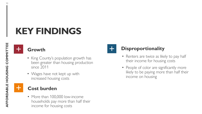### **KEY FINDINGS**



- King County's population growth has been greater than housing production since 2011
- Wages have not kept up with increased housing costs

#### **Cost burden**

• More than 100,000 low-income households pay more than half their income for housing costs



#### **Disproportionality**

- Renters are twice as likely to pay half their income for housing costs
- People of color are significantly more likely to be paying more than half their income on housing

 $\pm$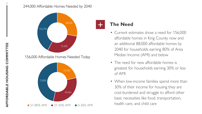#### 244,000 Affordable Homes Needed by 2040



#### **The Need**

- Current estimates show a need for 156,000 affordable homes in King County now and an additional 88,000 affordable homes by 2040 for households earning 80% of Area Median Income (AMI) and below
- The need for new affordable homes is greatest for households earning 30% or less of AMI
- When low-income families spend more than 30% of their income for housing they are cost-burdened and struggle to afford other basic necessities like food, transportation, health care, and child care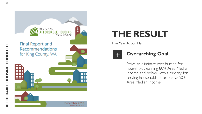

### **THE RESULT**

Five Year Action Plan



#### **Overarching Goal**

Strive to eliminate cost burden for households earning 80% Area Median Income and below, with a priority for serving households at or below 50% Area Median Income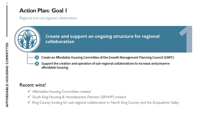Regional and sub-regional collaboration



Create and support an ongoing structure for regional collaboration



Create an Affordable Housing Committee of the Growth Management Planning Council (GMPC)

Support the creation and operation of sub-regional collaborations to increase and preserve B) affordable housing

#### Recent wins!

- ✓ Affordable Housing Committee created
- ✓ South King Housing & Homelessness Partners (SKHHP) created
- ✓ King County funding for sub-regional collaboration in North King County and the Snoqualmie Valley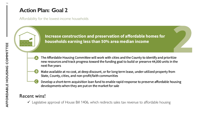Affordability for the lowest-income households

Increase construction and preservation of affordable homes for households earning less than 50% area median income

- The Affordable Housing Committee will work with cities and the County to identify and prioritize new resources and track progress toward the funding goal to build or preserve 44,000 units in the next five years
- 
- Make available at no cost, at deep discount, or for long term lease, under-utilized property from State, County, cities, and non-profit/faith communities
- Develop a short-term acquisition loan fund to enable rapid response to preserve affordable housing developments when they are put on the market for sale

#### Recent wins!

✓ Legislative approval of House Bill 1406, which redirects sales tax revenue to affordable housing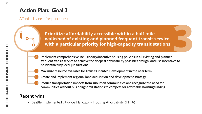Affordability near frequent transit

Prioritize affordability accessible within a half mile walkshed of existing and planned frequent transit service, with a particular priority for high-capacity transit stations

- Implement comprehensive inclusionary/incentive housing policies in all existing and planned frequent transit service to achieve the deepest affordability possible through land use incentives to be identified by local jurisdictions
- 
- Maximize resource available for Transit Oriented Development in the near term
- Create and implement regional land acquisition and development strategy
- Reduce transportation impacts from suburban communities and recognize the need for communities without bus or light rail stations to compete for affordable housing funding

#### Recent wins!

 $\checkmark$  Seattle implemented citywide Mandatory Housing Affordability (MHA)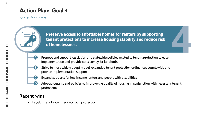#### Access for renters



Preserve access to affordable homes for renters by supporting tenant protections to increase housing stability and reduce risk of homelessness

Propose and support legislation and statewide policies related to tenant protection to ease implementation and provide consistency for landlords



- Strive to more widely adopt model, expanded tenant protection ordinances countywide and provide implementation support
- Expand supports for low-income renters and people with disabilities
- Adopt programs and policies to improve the quality of housing in conjunction with necessary tenant protections

#### Recent wins!

 $\checkmark$  Legislature adopted new eviction protections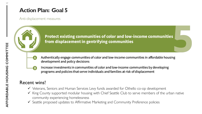Anti-displacement measures

Protect existing communities of color and low-income communities from displacement in gentrifying communities



- Authentically engage communities of color and low-income communities in affordable housing development and policy decisions
- 
- Increase investments in communities of color and low-income communities by developing programs and policies that serve individuals and families at risk of displacement

#### Recent wins!

- ✓ Veterans, Seniors and Human Services Levy funds awarded for Othello co-op development
- ✓ King County supported modular housing with Chief Seattle Club to serve members of the urban native community experiencing homelessness
- ✓ Seattle proposed updates to Affirmative Marketing and Community Preference policies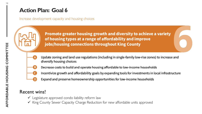Increase development capacity and housing choices

Promote greater housing growth and diversity to achieve a variety of housing types at a range of affordability and improve jobs/housing connections throughout King County



- Update zoning and land use regulations (including in single-family low-rise zones) to increase and diversify housing choices
- Decrease costs to build and operate housing affordable to low-income households B.
- Incentivize growth and affordability goals by expanding tools for investments in local infrastructure C
	- Expand and preserve homeownership opportunities for low-income households

#### Recent wins!

- $\checkmark$  Legislature approved condo liability reform law
- ✓ King County Sewer Capacity Charge Reduction for new affordable units approved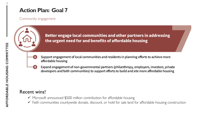#### Community engagement

Better engage local communities and other partners in addressing the urgent need for and benefits of affordable housing



- Support engagement of local communities and residents in planning efforts to achieve more affordable housing
- Expand engagement of non-governmental partners (philanthropy, employers, investors, private B. developers and faith communities) to support efforts to build and site more affordable housing

#### Recent wins!

- $\checkmark$  Microsoft announced \$500 million contribution for affordable housing
- $\checkmark$  Faith communities countywide donate, discount, or hold for sale land for affordable housing construction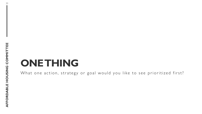### **ONE THING**

What one action, strategy or goal would you like to see prioritized first?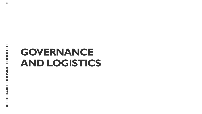## **GOVERNANCE AND LOGISTICS**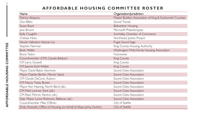#### **AFFORDABLE HOUSING COMMITTEE ROSTER**

| Name                                                                | Organization/Jurisdiction                                |
|---------------------------------------------------------------------|----------------------------------------------------------|
| Patricia Akiyama                                                    | Master Builders Association of King & Snohomish Counties |
| Don Billen                                                          | Sound Transit                                            |
| Susan Boyd                                                          | <b>Bellwether Housing</b>                                |
| Jane Broom                                                          | Microsoft Philanthropies                                 |
| Kelly Coughlin                                                      | SnoValley Chamber of Commerce                            |
| Chelsea Hicks                                                       | Northwest Justice Project                                |
| Nicole Vallestero Keenan-Lai                                        | Puget Sound Sage                                         |
| Stephen Norman                                                      | King County Housing Authority                            |
| <b>Brett Waller</b>                                                 | Washington Multi-Family Housing Association              |
| Bryce Yadon                                                         | Futurewise                                               |
| Councilmember (CM) Claudia Balducci                                 | King County                                              |
| <b>CM Larry Gossett</b>                                             | King County                                              |
| CM Jeanne Kohl-Welles                                               | King County                                              |
| Mayor David Baker, Kenmore                                          | Sound Cities Association                                 |
| Mayor Debbie Bertlin, Mercer Island                                 | Sound Cities Association                                 |
| CM Claude DaCorsi, Auburn                                           | Sound Cities Association                                 |
| CM Nancy Tosta, Burien                                              | Sound Cities Association                                 |
| Mayor Ken Hearing, North Bend (alt.)                                | Sound Cities Association                                 |
| CM Marli Larimer, Kent (alt.)                                       | Sound Cities Association                                 |
| CM Ryan McIrvin, Renton (alt.)                                      | Sound Cities Association                                 |
| Dep. Mayor Lynne Robinson, Bellevue (alt.)                          | Sound Cities Association                                 |
| Councilmember Mike O'Brien                                          | City of Seattle                                          |
| Emily Alvarado, Office of Housing (on behalf of Mayor Jenny Durkan) | City of Seattle                                          |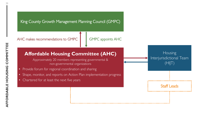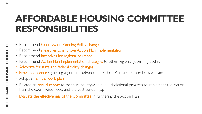### **AFFORDABLE HOUSING COMMITTEE RESPONSIBILITIES**

- Recommend Countywide Planning Policy changes
- Recommend measures to improve Action Plan implementation
- Recommend incentives for regional solutions
- Recommend Action Plan implementation strategies to other regional governing bodies
- Advocate for state and federal policy changes
- Provide guidance regarding alignment between the Action Plan and comprehensive plans
- Adopt an annual work plan
- Release an **annual report** to measure countywide and jurisdictional progress to implement the Action Plan, the countywide need, and the cost-burden gap
- **Evaluate the effectiveness of the Committee** in furthering the Action Plan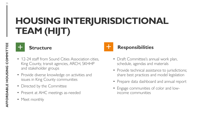### **HOUSING INTERJURISDICTIONAL TEAM (HIJT)**



- 12-24 staff from Sound Cities Association cities, King County, transit agencies, ARCH, SKHHP and stakeholder groups
- Provide diverse knowledge on activities and issues in King County communities
- Directed by the Committee
- Present at AHC meetings as-needed
- Meet monthly



#### **Structure Responsibilities**

- Draft Committee's annual work plan, schedule, agendas and materials
- Provide technical assistance to jurisdictions; share best practices and model legislation
- Prepare data dashboard and annual report
- Engage communities of color and lowincome communities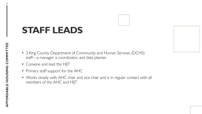### **STAFF LEADS**

- 3 King County Department of Community and Human Services (DCHS) staff—a manager, a coordinator, and data planner
- Convene and lead the HIJT
- Primary staff support for the AHC
- Works closely with AHC chair and vice chair and is in regular contact with all members of the AHC and HIJT

| unty $\overline{\mathsf{\Gamma}}$<br>anage |  |
|--------------------------------------------|--|
| ind lea                                    |  |
| aff su <mark>r</mark>                      |  |
| sely w<br>of the                           |  |
|                                            |  |

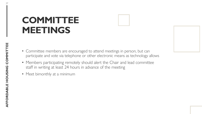### **COMMITTEE MEETINGS**

- Committee members are encouraged to attend meetings in person, but can participate and vote via telephone or other electronic means as technology allows
- Members participating remotely should alert the Chair and lead committee staff in writing at least 24 hours in advance of the meeting
- Meet bimonthly at a minimum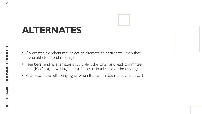### **ALTERNATES**

- Committee members may select an alternate to participate when they are unable to attend meeti
- Members sending alternates should alert the Chair and lead committee staff (McCaela) in writing at least 24 hours in advance of the meeting
- Alternates have full voting rights when the committee member is absent

| ings | sele            |
|------|-----------------|
|      | es sh<br>it lea |
|      | right           |
|      |                 |

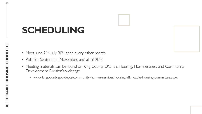### **SCHEDULING**

- Meet June 21<sup>st</sup>, July 30<sup>th</sup>, then every other month
- Polls for September, November, and all of 2020
- Meeting materials can be found on King County DCHS's Housing, Homelessness and Community Development Division's webpage
	- www.kingcounty.gov/depts/community-human-services/housing/affordable-housing-committee.aspx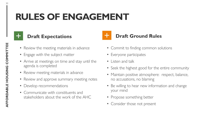### **RULES OF ENGAGEMENT**



- Review the meeting materials in advance
- Engage with the subject matter
- Arrive at meetings on time and stay until the agenda is completed
- Review meeting materials in advance
- Review and approve summary meeting notes
- Develop recommendations
- Communicate with constituents and stakeholders about the work of the AHC
- Commit to finding common solutions
- Everyone participates
- Listen and talk
- Seek the highest good for the entire community
- Maintain positive atmosphere: respect, balance, no accusations, no blaming
- Be willing to hear new information and change your mind
- Propose something better
- Consider those not present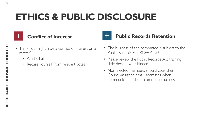### **ETHICS & PUBLIC DISCLOSURE**

|  |                                                                                                                         | <b>Service Service</b> |                                                                                                                |
|--|-------------------------------------------------------------------------------------------------------------------------|------------------------|----------------------------------------------------------------------------------------------------------------|
|  | $\mathcal{L}(\mathcal{L})$ and $\mathcal{L}(\mathcal{L})$ and $\mathcal{L}(\mathcal{L})$ and $\mathcal{L}(\mathcal{L})$ |                        | and the state of the state of the state of the state of the state of the state of the state of the state of th |
|  |                                                                                                                         |                        |                                                                                                                |
|  |                                                                                                                         |                        |                                                                                                                |

- Think you might have a conflict of interest on a matter?
	- Alert Chair
	- Recuse yourself from relevant votes



- The business of the committee is subject to the Public Records Act RCW 42.56
- Please review the Public Records Act training slide deck in your binder
- Non-elected members should copy their County-assigned email addresses when communicating about committee business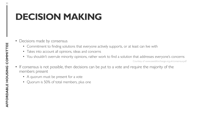### **DECISION MAKING**

- Decisions made by consensus
	- Commitment to finding solutions that everyone actively supports, or at least can live with
	- Takes into account all opinions, ideas and concerns
	- You shouldn't overrule minority opinions, rather work to find a solution that addresses everyone's concerns

Courtesy of www.seedsforchange.org.uk/consensus.pdf

- If consensus is not possible, then decisions can be put to a vote and require the majority of the members present
	- A quorum must be present for a vote
	- Quorum is 50% of total members, plus one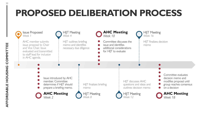### **PROPOSED DELIBERATION PROCESS**

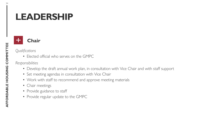### **LEADERSHIP**



#### *Qualifications*

• Elected official who serves on the GMPC

#### *Responsibilities*

- Develop the draft annual work plan, in consultation with Vice Chair and with staff support
- Set meeting agendas in consultation with Vice Chair
- Work with staff to recommend and approve meeting materials
- Chair meetings
- Provide guidance to staff
- Provide regular update to the GMPC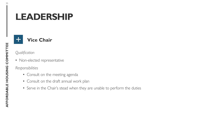### **LEADERSHIP**

#### **Vice Chair**

*Qualification*

• Non-elected representative

*Responsibilities*

- Consult on the meeting agenda
- Consult on the draft annual work plan
- Serve in the Chair's stead when they are unable to perform the duties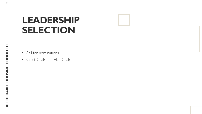### **LEADERSHIP SELECTION**

- Call for nominations
- Select Chair and Vice Chair

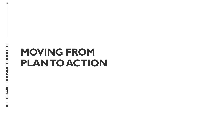## **MOVING FROM PLAN TO ACTION**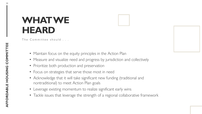### **WHAT WE HEARD**

The Committee should . . .

- Maintain focus on the equity principles in the Action Plan
- Measure and visualize need and progress by jurisdiction and collectively
- Prioritize both production and preservation
- Focus on strategies that serve those most in need
- Acknowledge that it will take significant new funding (traditional and nontraditional) to meet Action Plan goals
- Leverage existing momentum to realize significant early wins
- Tackle issues that leverage the strength of a regional collaborative framework

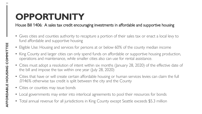### **OPPORTUNITY**

House Bill 1406: A sales tax credit encouraging investments in affordable and supportive housing

- Gives cities and counties authority to recapture a portion of their sales tax or enact a local levy to fund affordable and supportive housing
- Eligible Use: Housing and services for persons at or below 60% of the county median income
- King County and larger cities can only spend funds on affordable or supportive housing production, operations and maintenance, while smaller cities also can use for rental assistance.
- Cities must adopt a resolution of intent within six months (January 28, 2020) of the effective date of the bill and impose the tax within one year (July 28, 2020)
- Cities that have or will create certain affordable housing or human services levies can claim the full .0146% otherwise tax credit is split between the city and the County
- Cities or counties may issue bonds
- Local governments may enter into interlocal agreements to pool their resources for bonds
- Total annual revenue for all jurisdictions in King County except Seattle exceeds \$5.3 million